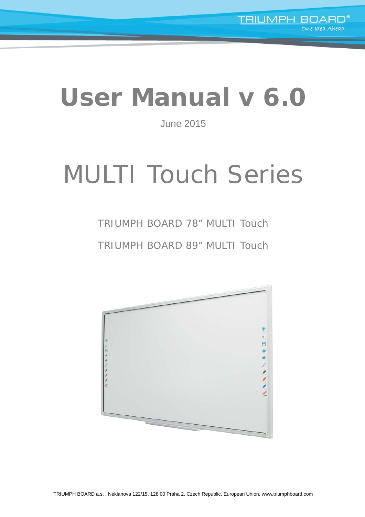# **User Manual v 6.0**

June 2015

# MULTI Touch Series

# TRIUMPH BOARD 78" MULTI Touch

TRIUMPH BOARD 89" MULTI Touch



TRIUMPH BOARD a.s. , Neklanova 122/15, 128 00 Praha 2, Czech Republic, European Union, www.triumphboard.com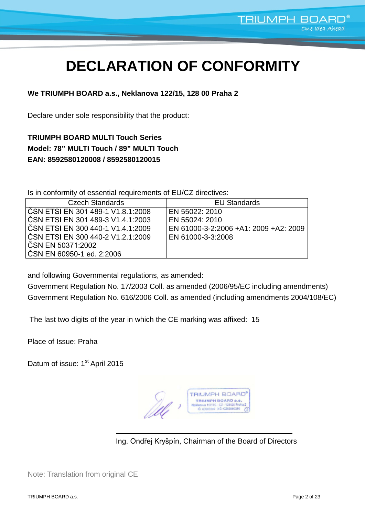# **DECLARATION OF CONFORMITY**

**TRIUMPH BOA** 

One Idea Ahead

#### **We TRIUMPH BOARD a.s., Neklanova 122/15, 128 00 Praha 2**

Declare under sole responsibility that the product:

## **TRIUMPH BOARD MULTI Touch Series Model: 78" MULTI Touch / 89" MULTI Touch EAN: 8592580120008 / 8592580120015**

Is in conformity of essential requirements of EU/CZ directives:

| <b>Czech Standards</b>             | <b>EU Standards</b>                   |
|------------------------------------|---------------------------------------|
| ČSN ETSI EN 301 489-1 V1.8.1:2008  | EN 55022: 2010                        |
| ∫ČSN ETSI EN 301 489-3 V1.4.1:2003 | EN 55024: 2010                        |
| ČSN ETSI EN 300 440-1 V1.4.1:2009  | EN 61000-3-2:2006 +A1: 2009 +A2: 2009 |
| ∣ČSN ETSI EN 300 440-2 V1.2.1:2009 | EN 61000-3-3:2008                     |
| ČSN EN 50371:2002                  |                                       |
| ČSN EN 60950-1 ed. 2:2006          |                                       |

and following Governmental regulations, as amended:

Government Regulation No. 17/2003 Coll. as amended (2006/95/EC including amendments) Government Regulation No. 616/2006 Coll. as amended (including amendments 2004/108/EC)

The last two digits of the year in which the CE marking was affixed: 15

Place of Issue: Praha

Datum of issue: 1st April 2015

**TRIUMPH BOARD** 

Ing. Ondřej Kryšpín, Chairman of the Board of Directors

Note: Translation from original CE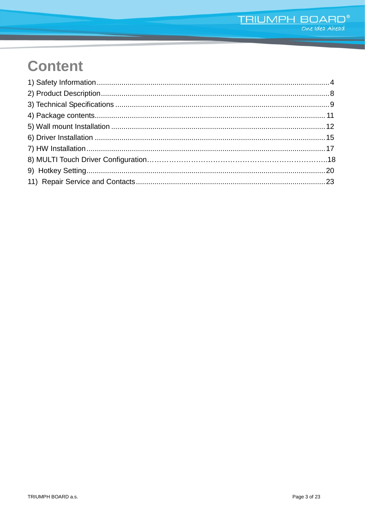# **Content**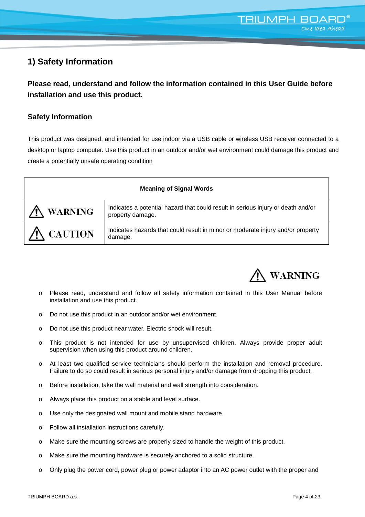# <span id="page-3-0"></span>**1) Safety Information**

**Please read, understand and follow the information contained in this User Guide before installation and use this product.**

#### **Safety Information**

This product was designed, and intended for use indoor via a USB cable or wireless USB receiver connected to a desktop or laptop computer. Use this product in an outdoor and/or wet environment could damage this product and create a potentially unsafe operating condition

| <b>Meaning of Signal Words</b> |                                                                                                      |  |  |  |  |
|--------------------------------|------------------------------------------------------------------------------------------------------|--|--|--|--|
| WARNING                        | Indicates a potential hazard that could result in serious injury or death and/or<br>property damage. |  |  |  |  |
| <b>CAUTION</b>                 | Indicates hazards that could result in minor or moderate injury and/or property<br>damage.           |  |  |  |  |



- o Please read, understand and follow all safety information contained in this User Manual before installation and use this product.
- o Do not use this product in an outdoor and/or wet environment.
- o Do not use this product near water. Electric shock will result.
- o This product is not intended for use by unsupervised children. Always provide proper adult supervision when using this product around children.
- o At least two qualified service technicians should perform the installation and removal procedure. Failure to do so could result in serious personal injury and/or damage from dropping this product.
- o Before installation, take the wall material and wall strength into consideration.
- o Always place this product on a stable and level surface.
- o Use only the designated wall mount and mobile stand hardware.
- o Follow all installation instructions carefully.
- o Make sure the mounting screws are properly sized to handle the weight of this product.
- o Make sure the mounting hardware is securely anchored to a solid structure.
- o Only plug the power cord, power plug or power adaptor into an AC power outlet with the proper and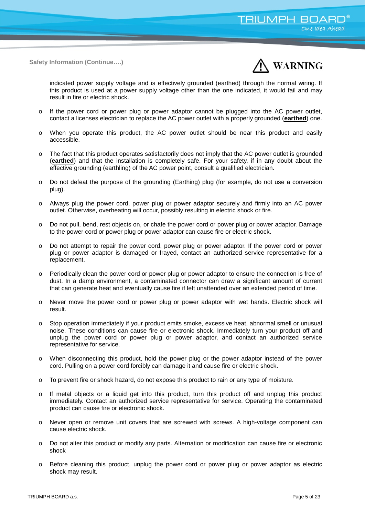**Safety Information (Continue….)** 



indicated power supply voltage and is effectively grounded (earthed) through the normal wiring. If this product is used at a power supply voltage other than the one indicated, it would fail and may result in fire or electric shock.

- $\circ$  If the power cord or power plug or power adaptor cannot be plugged into the AC power outlet, contact a licenses electrician to replace the AC power outlet with a properly grounded (**earthed**) one.
- o When you operate this product, the AC power outlet should be near this product and easily accessible.
- o The fact that this product operates satisfactorily does not imply that the AC power outlet is grounded (**earthed**) and that the installation is completely safe. For your safety, if in any doubt about the effective grounding (earthling) of the AC power point, consult a qualified electrician.
- o Do not defeat the purpose of the grounding (Earthing) plug (for example, do not use a conversion plug).
- o Always plug the power cord, power plug or power adaptor securely and firmly into an AC power outlet. Otherwise, overheating will occur, possibly resulting in electric shock or fire.
- o Do not pull, bend, rest objects on, or chafe the power cord or power plug or power adaptor. Damage to the power cord or power plug or power adaptor can cause fire or electric shock.
- o Do not attempt to repair the power cord, power plug or power adaptor. If the power cord or power plug or power adaptor is damaged or frayed, contact an authorized service representative for a replacement.
- o Periodically clean the power cord or power plug or power adaptor to ensure the connection is free of dust. In a damp environment, a contaminated connector can draw a significant amount of current that can generate heat and eventually cause fire if left unattended over an extended period of time.
- o Never move the power cord or power plug or power adaptor with wet hands. Electric shock will result.
- o Stop operation immediately if your product emits smoke, excessive heat, abnormal smell or unusual noise. These conditions can cause fire or electronic shock. Immediately turn your product off and unplug the power cord or power plug or power adaptor, and contact an authorized service representative for service.
- o When disconnecting this product, hold the power plug or the power adaptor instead of the power cord. Pulling on a power cord forcibly can damage it and cause fire or electric shock.
- o To prevent fire or shock hazard, do not expose this product to rain or any type of moisture.
- o If metal objects or a liquid get into this product, turn this product off and unplug this product immediately. Contact an authorized service representative for service. Operating the contaminated product can cause fire or electronic shock.
- o Never open or remove unit covers that are screwed with screws. A high-voltage component can cause electric shock.
- o Do not alter this product or modify any parts. Alternation or modification can cause fire or electronic shock
- o Before cleaning this product, unplug the power cord or power plug or power adaptor as electric shock may result.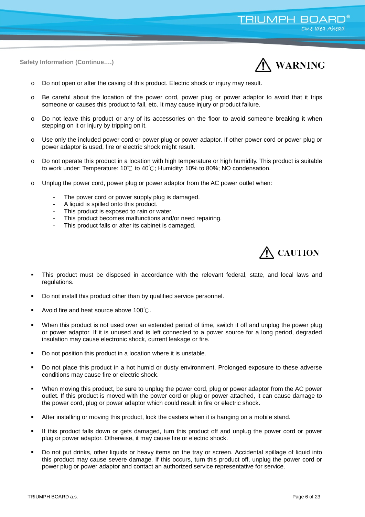**Safety Information (Continue….)** 



- o Do not open or alter the casing of this product. Electric shock or injury may result.
- o Be careful about the location of the power cord, power plug or power adaptor to avoid that it trips someone or causes this product to fall, etc. It may cause injury or product failure.
- Do not leave this product or any of its accessories on the floor to avoid someone breaking it when stepping on it or injury by tripping on it.
- o Use only the included power cord or power plug or power adaptor. If other power cord or power plug or power adaptor is used, fire or electric shock might result.
- o Do not operate this product in a location with high temperature or high humidity. This product is suitable to work under: Temperature: 10℃ to 40℃; Humidity: 10% to 80%; NO condensation.
- $\circ$  Unplug the power cord, power plug or power adaptor from the AC power outlet when:
	- The power cord or power supply plug is damaged.
	- A liquid is spilled onto this product.
	- This product is exposed to rain or water.
	- This product becomes malfunctions and/or need repairing.
	- This product falls or after its cabinet is damaged.



- This product must be disposed in accordance with the relevant federal, state, and local laws and regulations.
- Do not install this product other than by qualified service personnel.
- Avoid fire and heat source above 100℃.
- When this product is not used over an extended period of time, switch it off and unplug the power plug or power adaptor. If it is unused and is left connected to a power source for a long period, degraded insulation may cause electronic shock, current leakage or fire.
- Do not position this product in a location where it is unstable.
- Do not place this product in a hot humid or dusty environment. Prolonged exposure to these adverse conditions may cause fire or electric shock.
- When moving this product, be sure to unplug the power cord, plug or power adaptor from the AC power outlet. If this product is moved with the power cord or plug or power attached, it can cause damage to the power cord, plug or power adaptor which could result in fire or electric shock.
- After installing or moving this product, lock the casters when it is hanging on a mobile stand.
- If this product falls down or gets damaged, turn this product off and unplug the power cord or power plug or power adaptor. Otherwise, it may cause fire or electric shock.
- Do not put drinks, other liquids or heavy items on the tray or screen. Accidental spillage of liquid into this product may cause severe damage. If this occurs, turn this product off, unplug the power cord or power plug or power adaptor and contact an authorized service representative for service.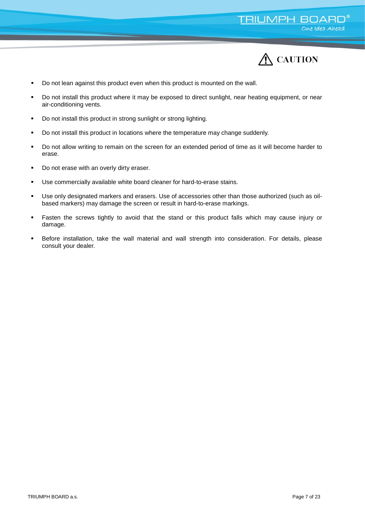



- **Do not lean against this product even when this product is mounted on the wall.**
- Do not install this product where it may be exposed to direct sunlight, near heating equipment, or near air-conditioning vents.
- Do not install this product in strong sunlight or strong lighting.
- Do not install this product in locations where the temperature may change suddenly.
- Do not allow writing to remain on the screen for an extended period of time as it will become harder to erase.
- Do not erase with an overly dirty eraser.
- Use commercially available white board cleaner for hard-to-erase stains.
- Use only designated markers and erasers. Use of accessories other than those authorized (such as oilbased markers) may damage the screen or result in hard-to-erase markings.
- Fasten the screws tightly to avoid that the stand or this product falls which may cause injury or damage.
- Before installation, take the wall material and wall strength into consideration. For details, please consult your dealer.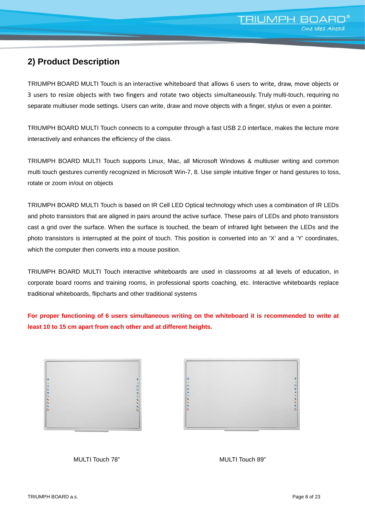# <span id="page-7-0"></span>**2) Product Description**

TRIUMPH BOARD MULTI Touch is an interactive whiteboard that allows 6 users to write, draw, move objects or 3 users to resize objects with two fingers and rotate two objects simultaneously. Truly multi-touch, requiring no separate multiuser mode settings. Users can write, draw and move objects with a finger, stylus or even a pointer.

TRIUMPH BOARD MULTI Touch connects to a computer through a fast USB 2.0 interface, makes the lecture more interactively and enhances the efficiency of the class.

TRIUMPH BOARD MULTI Touch supports Linux, Mac, all Microsoft Windows & multiuser writing and common multi touch gestures currently recognized in Microsoft Win-7, 8. Use simple intuitive finger or hand gestures to toss, rotate or zoom in/out on objects

TRIUMPH BOARD MULTI Touch is based on IR Cell LED Optical technology which uses a combination of IR LEDs and photo transistors that are aligned in pairs around the active surface. These pairs of LEDs and photo transistors cast a grid over the surface. When the surface is touched, the beam of infrared light between the LEDs and the photo transistors is interrupted at the point of touch. This position is converted into an 'X' and a 'Y' coordinates, which the computer then converts into a mouse position.

TRIUMPH BOARD MULTI Touch interactive whiteboards are used in classrooms at all levels of education, in corporate board rooms and training rooms, in professional sports coaching, etc. Interactive whiteboards replace traditional whiteboards, flipcharts and other traditional systems

**For proper functioning of 6 users simultaneous writing on the whiteboard it is recommended to write at least 10 to 15 cm apart from each other and at different heights.**





MULTI Touch 78" MULTI Touch 89"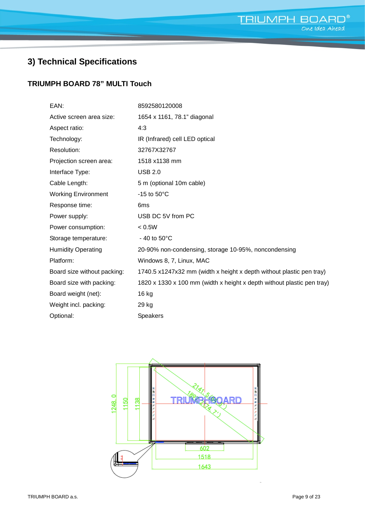# <span id="page-8-0"></span>**3) Technical Specifications**

# **TRIUMPH BOARD 78" MULTI Touch**

| EAN:                        | 8592580120008                                                          |
|-----------------------------|------------------------------------------------------------------------|
| Active screen area size:    | 1654 x 1161, 78.1" diagonal                                            |
| Aspect ratio:               | 4:3                                                                    |
| Technology:                 | IR (Infrared) cell LED optical                                         |
| Resolution:                 | 32767X32767                                                            |
| Projection screen area:     | 1518 x1138 mm                                                          |
| Interface Type:             | <b>USB 2.0</b>                                                         |
| Cable Length:               | 5 m (optional 10m cable)                                               |
| <b>Working Environment</b>  | -15 to $50^{\circ}$ C                                                  |
| Response time:              | 6 <sub>ms</sub>                                                        |
| Power supply:               | USB DC 5V from PC                                                      |
| Power consumption:          | < 0.5W                                                                 |
| Storage temperature:        | - 40 to $50^{\circ}$ C                                                 |
| <b>Humidity Operating</b>   | 20-90% non-condensing, storage 10-95%, noncondensing                   |
| Platform:                   | Windows 8, 7, Linux, MAC                                               |
| Board size without packing: | 1740.5 x1247x32 mm (width x height x depth without plastic pen tray)   |
| Board size with packing:    | 1820 x 1330 x 100 mm (width x height x depth without plastic pen tray) |
| Board weight (net):         | 16 kg                                                                  |
| Weight incl. packing:       | 29 kg                                                                  |
| Optional:                   | Speakers                                                               |

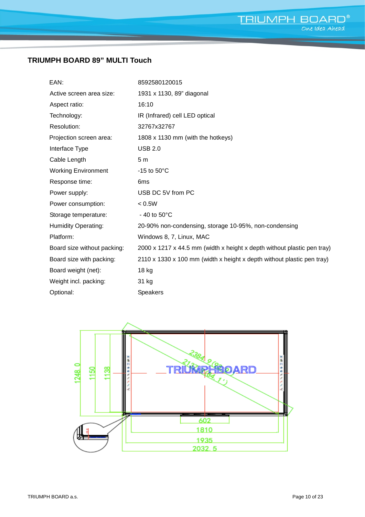# **TRIUMPH BOARD 89" MULTI Touch**

| EAN:                        | 8592580120015                                                           |
|-----------------------------|-------------------------------------------------------------------------|
| Active screen area size:    | 1931 x 1130, 89" diagonal                                               |
| Aspect ratio:               | 16:10                                                                   |
| Technology:                 | IR (Infrared) cell LED optical                                          |
| Resolution:                 | 32767x32767                                                             |
| Projection screen area:     | 1808 x 1130 mm (with the hotkeys)                                       |
| Interface Type              | <b>USB 2.0</b>                                                          |
| Cable Length                | 5 <sub>m</sub>                                                          |
| <b>Working Environment</b>  | -15 to $50^{\circ}$ C                                                   |
| Response time:              | 6 <sub>ms</sub>                                                         |
| Power supply:               | USB DC 5V from PC                                                       |
| Power consumption:          | < 0.5W                                                                  |
| Storage temperature:        | - 40 to $50^{\circ}$ C                                                  |
| <b>Humidity Operating:</b>  | 20-90% non-condensing, storage 10-95%, non-condensing                   |
| Platform:                   | Windows 8, 7, Linux, MAC                                                |
| Board size without packing: | 2000 x 1217 x 44.5 mm (width x height x depth without plastic pen tray) |
| Board size with packing:    | 2110 x 1330 x 100 mm (width x height x depth without plastic pen tray)  |
| Board weight (net):         | 18 kg                                                                   |
| Weight incl. packing:       | 31 kg                                                                   |
| Optional:                   | Speakers                                                                |

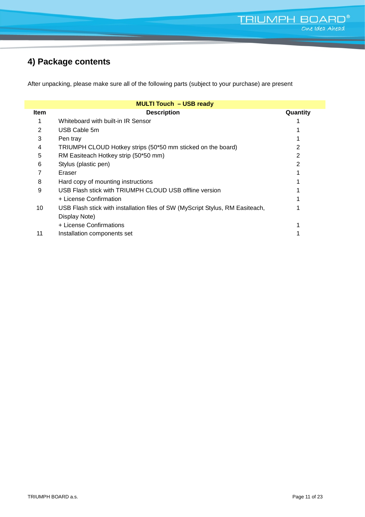# <span id="page-10-0"></span>**4) Package contents**

After unpacking, please make sure all of the following parts (subject to your purchase) are present

| <b>MULTI Touch - USB ready</b> |                                                                               |          |  |  |  |  |  |
|--------------------------------|-------------------------------------------------------------------------------|----------|--|--|--|--|--|
| <b>Item</b>                    | <b>Description</b>                                                            | Quantity |  |  |  |  |  |
|                                | Whiteboard with built-in IR Sensor                                            |          |  |  |  |  |  |
| 2                              | USB Cable 5m                                                                  |          |  |  |  |  |  |
| 3                              | Pen tray                                                                      |          |  |  |  |  |  |
| 4                              | TRIUMPH CLOUD Hotkey strips (50*50 mm sticked on the board)                   | 2        |  |  |  |  |  |
| 5                              | RM Easiteach Hotkey strip (50*50 mm)                                          | 2        |  |  |  |  |  |
| 6                              | Stylus (plastic pen)                                                          | 2        |  |  |  |  |  |
|                                | Eraser                                                                        |          |  |  |  |  |  |
| 8                              | Hard copy of mounting instructions                                            |          |  |  |  |  |  |
| 9                              | USB Flash stick with TRIUMPH CLOUD USB offline version                        |          |  |  |  |  |  |
|                                | + License Confirmation                                                        |          |  |  |  |  |  |
| 10                             | USB Flash stick with installation files of SW (MyScript Stylus, RM Easiteach, |          |  |  |  |  |  |
|                                | Display Note)                                                                 |          |  |  |  |  |  |
|                                | + License Confirmations                                                       |          |  |  |  |  |  |
| 11                             | Installation components set                                                   |          |  |  |  |  |  |
|                                |                                                                               |          |  |  |  |  |  |

**TRIUMPH BOARD®** 

One Idea Ahead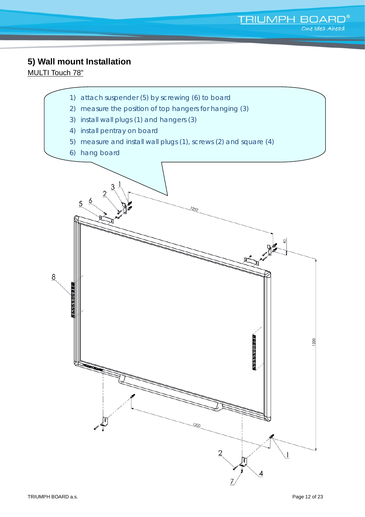# <span id="page-11-0"></span>**5) Wall mount Installation**

MULTI Touch 78"



TRIUMPH BOARD<sup>®</sup><br>One Idea Ahead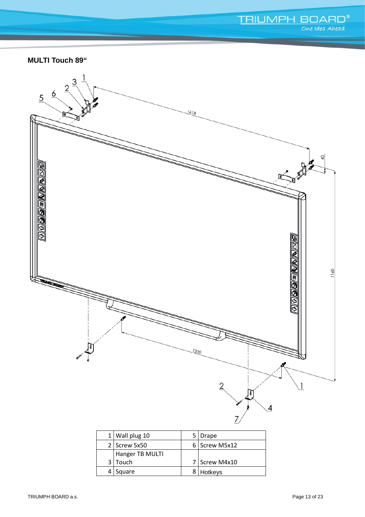**MULTI Touch 89"**

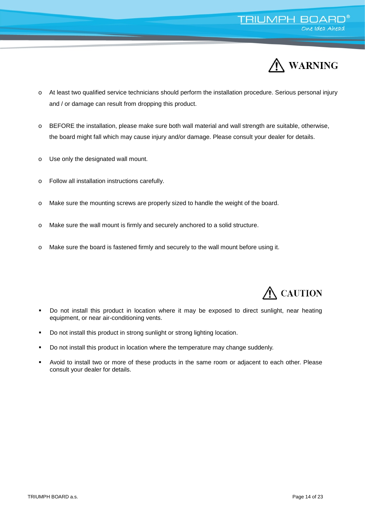

- o At least two qualified service technicians should perform the installation procedure. Serious personal injury and / or damage can result from dropping this product.
- o BEFORE the installation, please make sure both wall material and wall strength are suitable, otherwise, the board might fall which may cause injury and/or damage. Please consult your dealer for details.
- o Use only the designated wall mount.
- o Follow all installation instructions carefully.
- o Make sure the mounting screws are properly sized to handle the weight of the board.
- o Make sure the wall mount is firmly and securely anchored to a solid structure.
- o Make sure the board is fastened firmly and securely to the wall mount before using it.



- Do not install this product in location where it may be exposed to direct sunlight, near heating equipment, or near air-conditioning vents.
- Do not install this product in strong sunlight or strong lighting location.
- Do not install this product in location where the temperature may change suddenly.
- Avoid to install two or more of these products in the same room or adjacent to each other. Please consult your dealer for details.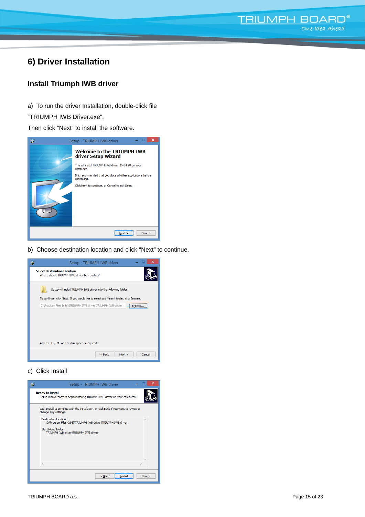# <span id="page-14-0"></span>**6) Driver Installation**

#### **Install Triumph IWB driver**

a) To run the driver Installation, double-click file

"TRIUMPH IWB Driver.exe".

Then click "Next" to install the software.



b) Choose destination location and click "Next" to continue.



c) Click Install



**TRIUMPH BOARD®** 

One Idea Ahead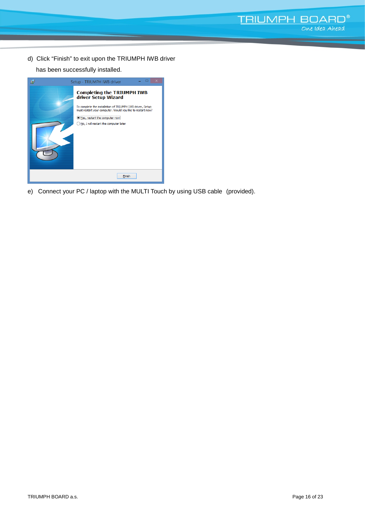d) Click "Finish" to exit upon the TRIUMPH IWB driver

has been successfully installed.



e) Connect your PC / laptop with the MULTI Touch by using USB cable (provided).

**TRIUMPH BOARD®** 

One Idea Ahead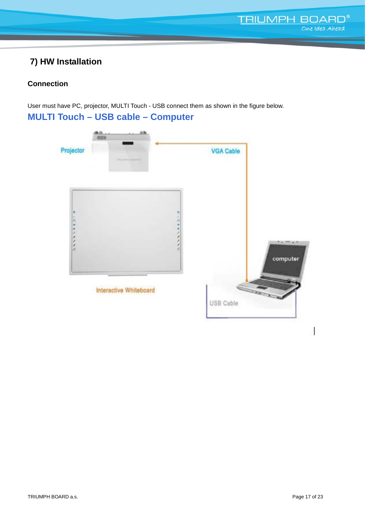# <span id="page-16-0"></span>**7) HW Installation**

#### **Connection**

User must have PC, projector, MULTI Touch - USB connect them as shown in the figure below.

## **MULTI Touch – USB cable – Computer**



TRIUMPH BOARD<sup>®</sup><br>One Idea Ahead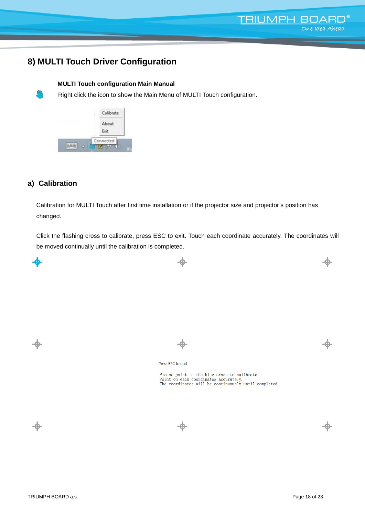

# **8) MULTI Touch Driver Configuration**

#### **MULTI Touch configuration Main Manual**

Right click the icon to show the Main Menu of MULTI Touch configuration.



#### **a) Calibration**

Calibration for MULTI Touch after first time installation or if the projector size and projector's position has changed.

Click the flashing cross to calibrate, press ESC to exit. Touch each coordinate accurately. The coordinates will be moved continually until the calibration is completed.

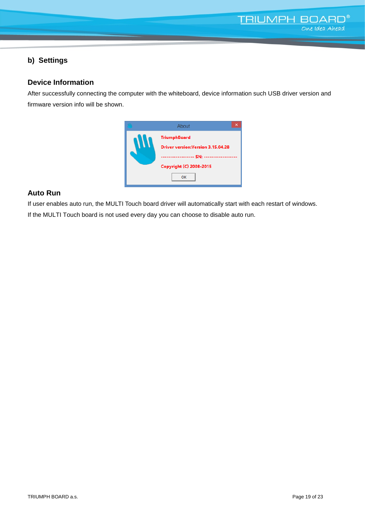#### **b) Settings**

#### **Device Information**

After successfully connecting the computer with the whiteboard, device information such USB driver version and firmware version info will be shown.



#### **Auto Run**

If user enables auto run, the MULTI Touch board driver will automatically start with each restart of windows.

If the MULTI Touch board is not used every day you can choose to disable auto run.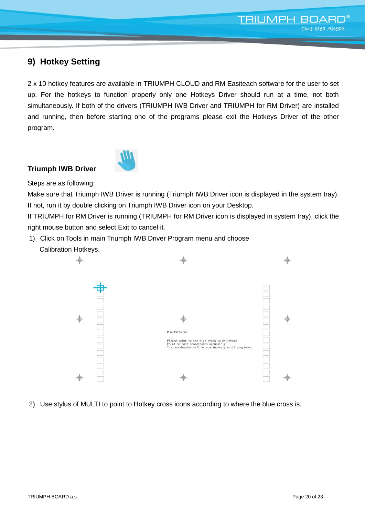# <span id="page-19-0"></span>**9) Hotkey Setting**

2 x 10 hotkey features are available in TRIUMPH CLOUD and RM Easiteach software for the user to set up. For the hotkeys to function properly only one Hotkeys Driver should run at a time, not both simultaneously. If both of the drivers (TRIUMPH IWB Driver and TRIUMPH for RM Driver) are installed and running, then before starting one of the programs please exit the Hotkeys Driver of the other program.

#### **Triumph IWB Driver**



Steps are as following:

Make sure that Triumph IWB Driver is running (Triumph IWB Driver icon is displayed in the system tray). If not, run it by double clicking on Triumph IWB Driver icon on your Desktop.

If TRIUMPH for RM Driver is running (TRIUMPH for RM Driver icon is displayed in system tray), click the right mouse button and select Exit to cancel it.

1) Click on Tools in main Triumph IWB Driver Program menu and choose Calibration Hotkeys.



2) Use stylus of MULTI to point to Hotkey cross icons according to where the blue cross is.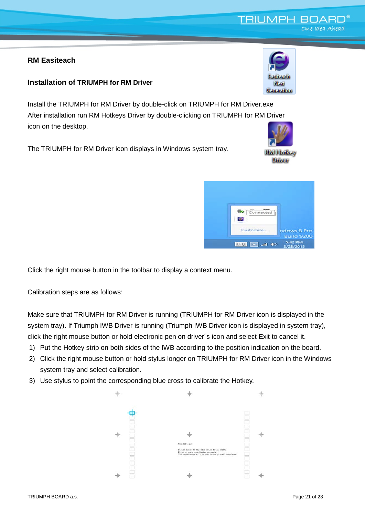#### **RM Easiteach**

#### **Installation of TRIUMPH for RM Driver**

Install the TRIUMPH for RM Driver by double-click on TRIUMPH for RM Driver.exe After installation run RM Hotkeys Driver by double-clicking on TRIUMPH for RM Driver icon on the desktop.

The TRIUMPH for RM Driver icon displays in Windows system tray.

Click the right mouse button in the toolbar to display a context menu.

Calibration steps are as follows:

Make sure that TRIUMPH for RM Driver is running (TRIUMPH for RM Driver icon is displayed in the system tray). If Triumph IWB Driver is running (Triumph IWB Driver icon is displayed in system tray), click the right mouse button or hold electronic pen on driver´s icon and select Exit to cancel it.

- 1) Put the Hotkey strip on both sides of the IWB according to the position indication on the board.
- 2) Click the right mouse button or hold stylus longer on TRIUMPH for RM Driver icon in the Windows system tray and select calibration.

è or PSC to mult

the nime cross to caiserate<br>cordinates accurately.<br>will be continuously until comple

3) Use stylus to point the corresponding blue cross to calibrate the Hotkey.

**Nivi Hotkey** Diriver

**TRIUMPH BOAR** 

One Idea Ahead



-4

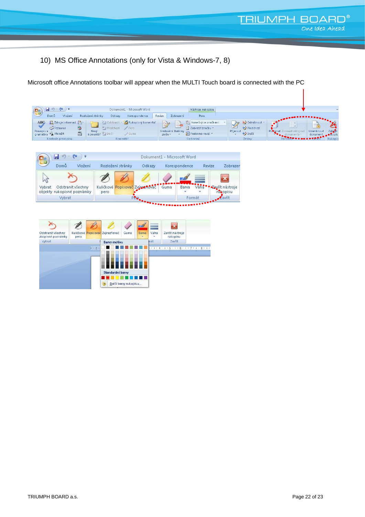$\overline{\phantom{a}}$ 

10) MS Office Annotations (only for Vista & Windows-7, 8)

Microsoft office Annotations toolbar will appear when the MULTI Touch board is connected with the PC

| $\Box$ n          |                                                                     | ਾਵ                 |                               |                       |                               | Dokument1 - Microsoft Word         |                         |                   | Nástroje rukopisu                                                  |                                                                            |                                             |                                        |                    |
|-------------------|---------------------------------------------------------------------|--------------------|-------------------------------|-----------------------|-------------------------------|------------------------------------|-------------------------|-------------------|--------------------------------------------------------------------|----------------------------------------------------------------------------|---------------------------------------------|----------------------------------------|--------------------|
| ا <mark>کا</mark> | Domů                                                                | Vložení            |                               | Rozložení stránky     | Odkazy                        | Korespondence                      | Revize                  | Zobrazení         | Pera                                                               |                                                                            | <b></b> .                                   |                                        |                    |
| ABC<br>Pravopis a | $\overline{\mathbb{S}}$ Tezaurus<br>gramatika <sup>a</sup> Fřeložit | Zdroje informací   | 8<br>$\frac{\text{ABC}}{123}$ | Now<br>komentář Další | <b>Odstranit</b><br>Předchozí | Rukopisný komentář<br>Pero<br>Guma | $\Rightarrow$<br>změn * | Sledování Bubliny | 画記<br>Konečný se značkami<br>Zobrazit značku *<br>Podokno revizí * | Odmítnout *<br>$\rightarrow$<br>D<br>Předchozí<br>Přijmout<br><b>Další</b> | <b>Since 1</b><br>razit zdrojov<br>Poroynat | $\Rightarrow$<br>Uzamknout<br>dokument | Zahánt<br>. akopis |
|                   |                                                                     | Kontrola pravopisu |                               |                       | Komentář                      |                                    |                         |                   | Sledování                                                          | Změny                                                                      |                                             |                                        | Rukopis            |



| Odstranit všechny<br>Jkopisné poznámky | pero | Kuličkové Popisovač Zvýrazňovač | Guma                 | Barva<br>÷ | Váha | Zavřít nástroje<br>rukopisu |  |
|----------------------------------------|------|---------------------------------|----------------------|------------|------|-----------------------------|--|
| Vybrat                                 |      | <b>Barvy motivu</b>             |                      |            | mát  | Zavřít                      |  |
|                                        |      | Standardní barvy                |                      |            |      |                             |  |
|                                        |      | S.)                             | Další barvy rukopisu |            |      |                             |  |